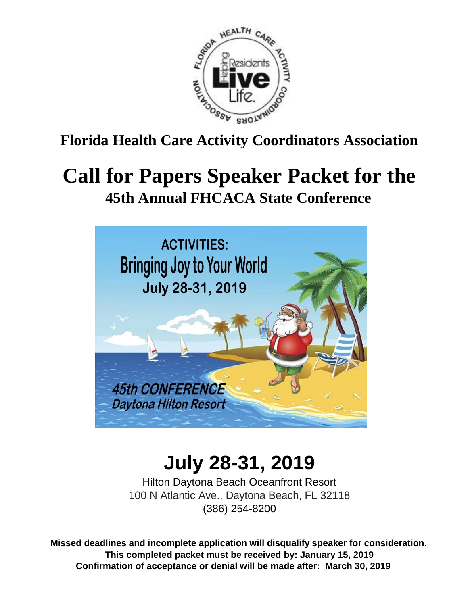

**Florida Health Care Activity Coordinators Association**

# **Call for Papers Speaker Packet for the 45th Annual FHCACA State Conference**



# **July 28-31, 2019**

Hilton Daytona Beach Oceanfront Resort 100 N Atlantic Ave., Daytona Beach, FL 32118 (386) 254-8200

**Missed deadlines and incomplete application will disqualify speaker for consideration. This completed packet must be received by: January 15, 2019 Confirmation of acceptance or denial will be made after: March 30, 2019**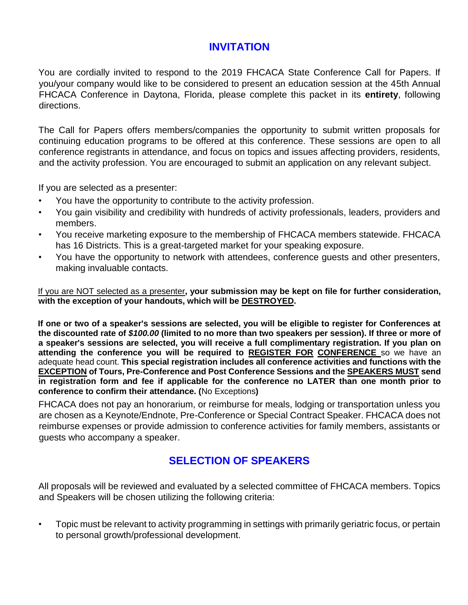# **INVITATION**

You are cordially invited to respond to the 2019 FHCACA State Conference Call for Papers. If you/your company would like to be considered to present an education session at the 45th Annual FHCACA Conference in Daytona, Florida, please complete this packet in its **entirety**, following directions.

The Call for Papers offers members/companies the opportunity to submit written proposals for continuing education programs to be offered at this conference. These sessions are open to all conference registrants in attendance, and focus on topics and issues affecting providers, residents, and the activity profession. You are encouraged to submit an application on any relevant subject.

If you are selected as a presenter:

- You have the opportunity to contribute to the activity profession.
- You gain visibility and credibility with hundreds of activity professionals, leaders, providers and members.
- You receive marketing exposure to the membership of FHCACA members statewide. FHCACA has 16 Districts. This is a great-targeted market for your speaking exposure.
- You have the opportunity to network with attendees, conference guests and other presenters, making invaluable contacts.

If you are NOT selected as a presenter**, your submission may be kept on file for further consideration, with the exception of your handouts, which will be DESTROYED.** 

**If one or two of a speaker's sessions are selected, you will be eligible to register for Conferences at the discounted rate of** *\$100.00* **(limited to no more than two speakers per session). If three or more of a speaker's sessions are selected, you will receive a full complimentary registration. If you plan on attending the conference you will be required to REGISTER FOR CONFERENCE** so we have an adequate head count. **This special registration includes all conference activities and functions with the EXCEPTION of Tours, Pre-Conference and Post Conference Sessions and the SPEAKERS MUST send in registration form and fee if applicable for the conference no LATER than one month prior to conference to confirm their attendance. (**No Exceptions**)** 

FHCACA does not pay an honorarium, or reimburse for meals, lodging or transportation unless you are chosen as a Keynote/Endnote, Pre-Conference or Special Contract Speaker. FHCACA does not reimburse expenses or provide admission to conference activities for family members, assistants or guests who accompany a speaker.

# **SELECTION OF SPEAKERS**

All proposals will be reviewed and evaluated by a selected committee of FHCACA members. Topics and Speakers will be chosen utilizing the following criteria:

• Topic must be relevant to activity programming in settings with primarily geriatric focus, or pertain to personal growth/professional development.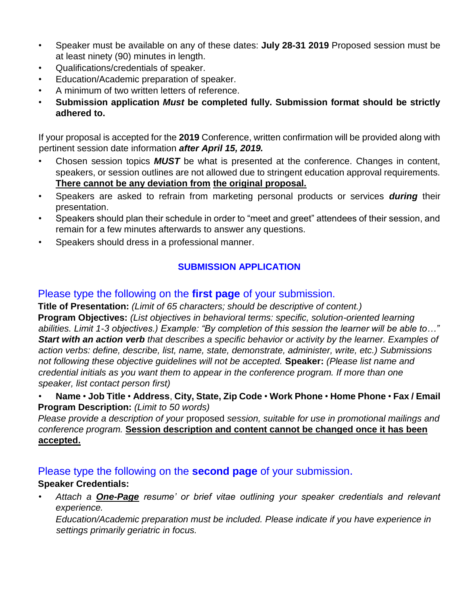- Speaker must be available on any of these dates: **July 28-31 2019** Proposed session must be at least ninety (90) minutes in length.
- Qualifications/credentials of speaker.
- Education/Academic preparation of speaker.
- A minimum of two written letters of reference.
- **Submission application** *Must* **be completed fully. Submission format should be strictly adhered to.**

If your proposal is accepted for the **2019** Conference, written confirmation will be provided along with pertinent session date information *after April 15, 2019.*

- Chosen session topics *MUST* be what is presented at the conference. Changes in content, speakers, or session outlines are not allowed due to stringent education approval requirements. **There cannot be any deviation from the original proposal.**
- Speakers are asked to refrain from marketing personal products or services *during* their presentation.
- Speakers should plan their schedule in order to "meet and greet" attendees of their session, and remain for a few minutes afterwards to answer any questions.
- Speakers should dress in a professional manner.

### **SUBMISSION APPLICATION**

## Please type the following on the **first page** of your submission.

**Title of Presentation:** *(Limit of 65 characters; should be descriptive of content.)*  **Program Objectives:** *(List objectives in behavioral terms: specific, solution-oriented learning abilities. Limit 1-3 objectives.) Example: "By completion of this session the learner will be able to…" Start with an action verb that describes a specific behavior or activity by the learner. Examples of action verbs: define, describe, list, name, state, demonstrate, administer, write, etc.) Submissions not following these objective guidelines will not be accepted.* **Speaker:** *(Please list name and credential initials as you want them to appear in the conference program. If more than one speaker, list contact person first)*

• **Name** • **Job Title** • **Address**, **City, State, Zip Code** • **Work Phone** • **Home Phone** • **Fax / Email Program Description:** *(Limit to 50 words)* 

*Please provide a description of your* proposed *session, suitable for use in promotional mailings and conference program.* **Session description and content cannot be changed once it has been accepted.**

## Please type the following on the **second page** of your submission.

### **Speaker Credentials:**

• *Attach a One-Page resume' or brief vitae outlining your speaker credentials and relevant experience.* 

*Education/Academic preparation must be included. Please indicate if you have experience in settings primarily geriatric in focus.*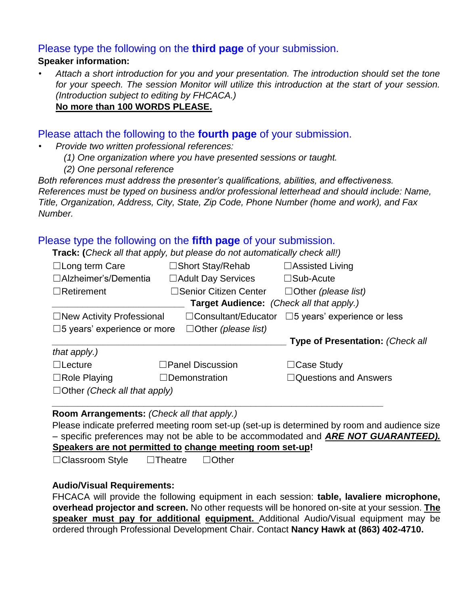#### Please type the following on the **third page** of your submission.

### **Speaker information:**

• *Attach a short introduction for you and your presentation. The introduction should set the tone for your speech. The session Monitor will utilize this introduction at the start of your session. (Introduction subject to editing by FHCACA.)*  **No more than 100 WORDS PLEASE.**

#### Please attach the following to the **fourth page** of your submission.

- *Provide two written professional references:*
	- *(1) One organization where you have presented sessions or taught.*
	- *(2) One personal reference*

*Both references must address the presenter's qualifications, abilities, and effectiveness. References must be typed on business and/or professional letterhead and should include: Name, Title, Organization, Address, City, State, Zip Code, Phone Number (home and work), and Fax Number.* 

## Please type the following on the **fifth page** of your submission.

**Track: (***Check all that apply, but please do not automatically check all!)* 

| $\Box$ Long term Care                                          | □Short Stay/Rehab            | $\Box$ Assisted Living                  |  |  |  |  |  |
|----------------------------------------------------------------|------------------------------|-----------------------------------------|--|--|--|--|--|
| $\Box$ Alzheimer's/Dementia                                    | □ Adult Day Services         | $\square$ Sub-Acute                     |  |  |  |  |  |
| $\Box$ Retirement                                              | $\Box$ Senior Citizen Center | $\Box$ Other (please list)              |  |  |  |  |  |
| Target Audience: (Check all that apply.)                       |                              |                                         |  |  |  |  |  |
| $\Box$ New Activity Professional<br>$\Box$ Consultant/Educator |                              | $\square$ 5 years' experience or less   |  |  |  |  |  |
| $\square$ 5 years' experience or more                          |                              |                                         |  |  |  |  |  |
|                                                                |                              | <b>Type of Presentation: (Check all</b> |  |  |  |  |  |
| that apply.)                                                   |                              |                                         |  |  |  |  |  |
| $\Box$ Lecture                                                 | $\Box$ Panel Discussion      | $\Box$ Case Study                       |  |  |  |  |  |
| $\Box$ Role Playing                                            | $\Box$ Demonstration         | $\Box$ Questions and Answers            |  |  |  |  |  |
| $\Box$ Other (Check all that apply)                            |                              |                                         |  |  |  |  |  |
|                                                                |                              |                                         |  |  |  |  |  |

#### **Room Arrangements:** *(Check all that apply.)*

Please indicate preferred meeting room set-up (set-up is determined by room and audience size – specific preferences may not be able to be accommodated and *ARE NOT GUARANTEED).*  **Speakers are not permitted to change meeting room set-up!** 

☐Classroom Style ☐Theatre ☐Other

#### **Audio/Visual Requirements:**

FHCACA will provide the following equipment in each session: **table, lavaliere microphone, overhead projector and screen.** No other requests will be honored on-site at your session. **The speaker must pay for additional equipment.** Additional Audio/Visual equipment may be ordered through Professional Development Chair. Contact **Nancy Hawk at (863) 402-4710.**